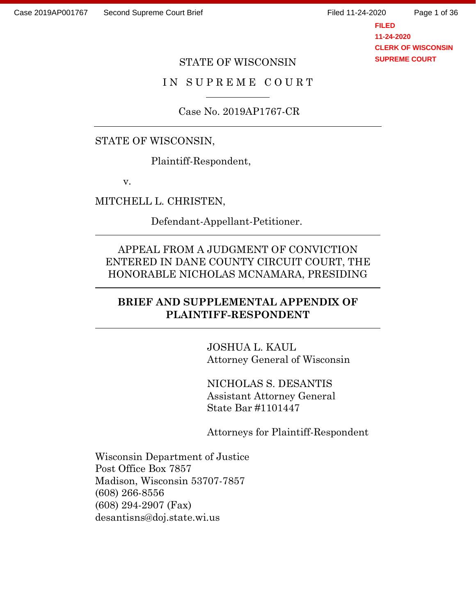Page 1 of 36

**FILED 11-24-2020 CLERK OF WISCONSIN SUPREME COURT**

### STATE OF WISCONSIN

## IN SUPREME COURT

Case No. 2019AP1767-CR

#### STATE OF WISCONSIN,

Plaintiff-Respondent,

v.

MITCHELL L. CHRISTEN,

Defendant-Appellant-Petitioner.

# APPEAL FROM A JUDGMENT OF CONVICTION ENTERED IN DANE COUNTY CIRCUIT COURT, THE HONORABLE NICHOLAS MCNAMARA, PRESIDING

### **BRIEF AND SUPPLEMENTAL APPENDIX OF PLAINTIFF-RESPONDENT**

JOSHUA L. KAUL Attorney General of Wisconsin

NICHOLAS S. DESANTIS Assistant Attorney General State Bar #1101447

Attorneys for Plaintiff-Respondent

Wisconsin Department of Justice Post Office Box 7857 Madison, Wisconsin 53707-7857 (608) 266-8556 (608) 294-2907 (Fax) desantisns@doj.state.wi.us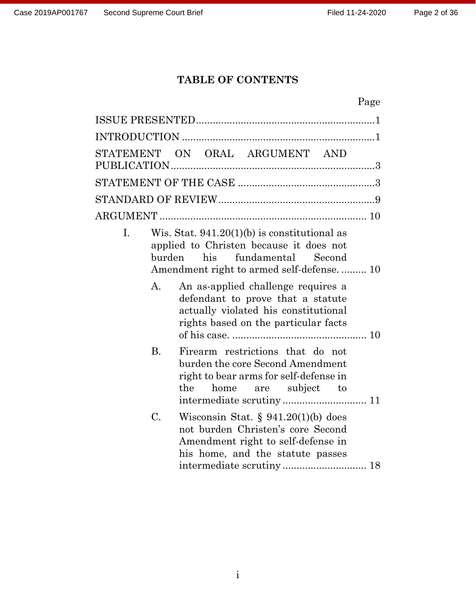# **TABLE OF CONTENTS**

# Page

|                | STATEMENT ON ORAL ARGUMENT AND                                                                                                                          |
|----------------|---------------------------------------------------------------------------------------------------------------------------------------------------------|
|                |                                                                                                                                                         |
|                |                                                                                                                                                         |
|                |                                                                                                                                                         |
| I.             | Wis. Stat. $941.20(1)(b)$ is constitutional as<br>applied to Christen because it does not<br>his<br>fundamental Second<br>burden                        |
| $\mathbf{A}$ . | An as-applied challenge requires a<br>defendant to prove that a statute<br>actually violated his constitutional<br>rights based on the particular facts |
| <b>B.</b>      | Firearm restrictions that do not<br>burden the core Second Amendment<br>right to bear arms for self-defense in<br>the<br>home are subject to            |
| C.             | Wisconsin Stat. $\S 941.20(1)(b)$ does<br>not burden Christen's core Second<br>Amendment right to self-defense in<br>his home, and the statute passes   |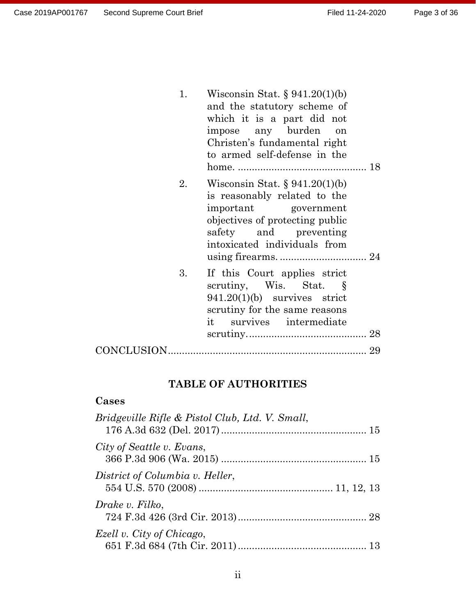| 1. | Wisconsin Stat. $\S 941.20(1)(b)$<br>and the statutory scheme of<br>which it is a part did not<br>impose any burden<br>on<br>Christen's fundamental right<br>to armed self-defense in the |
|----|-------------------------------------------------------------------------------------------------------------------------------------------------------------------------------------------|
| 2. | Wisconsin Stat. $\S 941.20(1)(b)$<br>is reasonably related to the<br>important government<br>objectives of protecting public<br>safety and preventing<br>intoxicated individuals from     |
| 3. | If this Court applies strict<br>scrutiny, Wis. Stat. $\S$<br>$941.20(1)(b)$ survives strict<br>scrutiny for the same reasons<br>it survives intermediate                                  |
|    |                                                                                                                                                                                           |

# **TABLE OF AUTHORITIES**

# **Cases**

| Bridgeville Rifle & Pistol Club, Ltd. V. Small, |  |
|-------------------------------------------------|--|
| City of Seattle v. Evans,                       |  |
| District of Columbia v. Heller,                 |  |
| Drake v. Filko,                                 |  |
| Ezell v. City of Chicago,                       |  |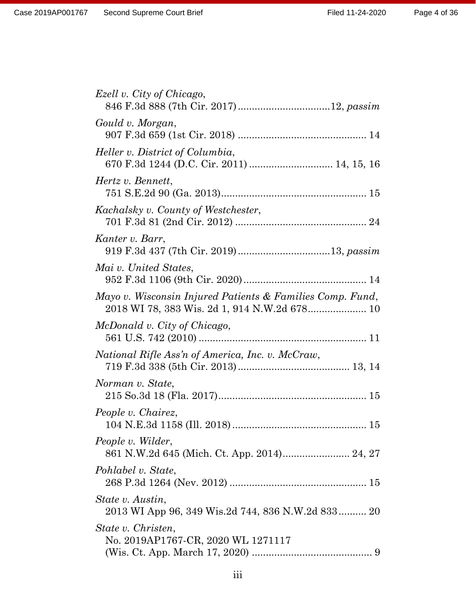| Ezell v. City of Chicago,                                                                                 |
|-----------------------------------------------------------------------------------------------------------|
| Gould v. Morgan,                                                                                          |
| Heller v. District of Columbia,<br>670 F.3d 1244 (D.C. Cir. 2011)  14, 15, 16                             |
| Hertz v. Bennett,                                                                                         |
| Kachalsky v. County of Westchester,                                                                       |
| Kanter v. Barr,                                                                                           |
| Mai v. United States,                                                                                     |
| Mayo v. Wisconsin Injured Patients & Families Comp. Fund,<br>2018 WI 78, 383 Wis. 2d 1, 914 N.W.2d 678 10 |
| McDonald v. City of Chicago,                                                                              |
| National Rifle Ass'n of America, Inc. v. McCraw,                                                          |
| Norman v. State,                                                                                          |
| People v. Chairez,                                                                                        |
| People v. Wilder,                                                                                         |
| Pohlabel v. State,                                                                                        |
| State v. Austin,<br>2013 WI App 96, 349 Wis.2d 744, 836 N.W.2d 833 20                                     |
| State v. Christen,<br>No. 2019AP1767-CR, 2020 WL 1271117                                                  |
|                                                                                                           |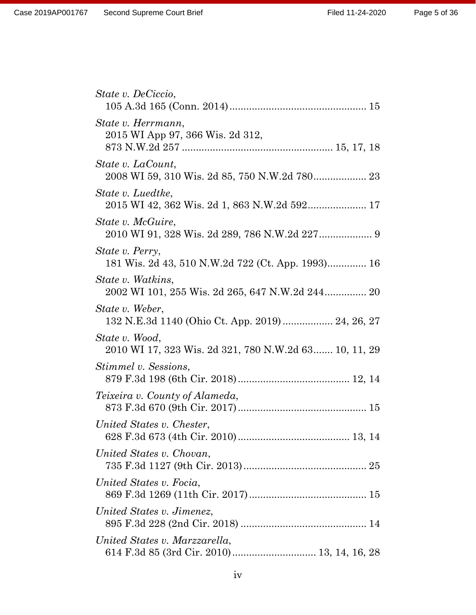| State v. DeCiccio,                                                        |
|---------------------------------------------------------------------------|
| State v. Herrmann,<br>2015 WI App 97, 366 Wis. 2d 312,                    |
| State v. LaCount,                                                         |
| State v. Luedtke,<br>2015 WI 42, 362 Wis. 2d 1, 863 N.W.2d 592 17         |
| <i>State v. McGuire,</i><br>2010 WI 91, 328 Wis. 2d 289, 786 N.W.2d 227 9 |
| State v. Perry,<br>181 Wis. 2d 43, 510 N.W.2d 722 (Ct. App. 1993) 16      |
| State v. Watkins,<br>2002 WI 101, 255 Wis. 2d 265, 647 N.W.2d 244 20      |
| State v. Weber,<br>132 N.E.3d 1140 (Ohio Ct. App. 2019)  24, 26, 27       |
| State v. Wood,<br>2010 WI 17, 323 Wis. 2d 321, 780 N.W.2d 63 10, 11, 29   |
| Stimmel v. Sessions,                                                      |
| <i>Teixeira v. County of Alameda,</i>                                     |
| United States v. Chester,                                                 |
| United States v. Chovan,                                                  |
| United States v. Focia,                                                   |
| United States v. Jimenez,                                                 |
| United States v. Marzzarella,                                             |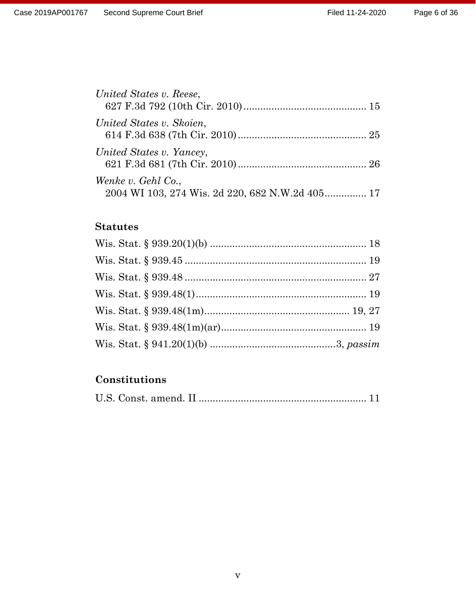| United States v. Reese,                                               |  |
|-----------------------------------------------------------------------|--|
| United States v. Skoien,                                              |  |
| United States v. Yancey,                                              |  |
| Wenke v. Gehl Co.,<br>2004 WI 103, 274 Wis. 2d 220, 682 N.W.2d 405 17 |  |

# **Statutes**

# **Constitutions**

|--|--|--|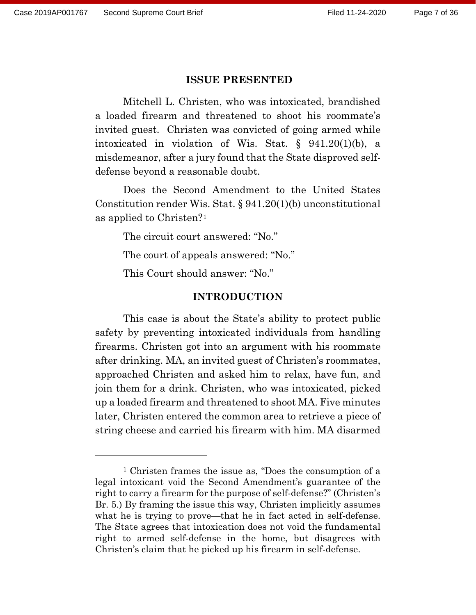#### **ISSUE PRESENTED**

Mitchell L. Christen, who was intoxicated, brandished a loaded firearm and threatened to shoot his roommate's invited guest. Christen was convicted of going armed while intoxicated in violation of Wis. Stat. § 941.20(1)(b), a misdemeanor, after a jury found that the State disproved selfdefense beyond a reasonable doubt.

Does the Second Amendment to the United States Constitution render Wis. Stat. § 941.20(1)(b) unconstitutional as applied to Christen?[1](#page-6-0)

The circuit court answered: "No."

The court of appeals answered: "No."

This Court should answer: "No."

#### **INTRODUCTION**

This case is about the State's ability to protect public safety by preventing intoxicated individuals from handling firearms. Christen got into an argument with his roommate after drinking. MA, an invited guest of Christen's roommates, approached Christen and asked him to relax, have fun, and join them for a drink. Christen, who was intoxicated, picked up a loaded firearm and threatened to shoot MA. Five minutes later, Christen entered the common area to retrieve a piece of string cheese and carried his firearm with him. MA disarmed

<span id="page-6-0"></span><sup>1</sup> Christen frames the issue as, "Does the consumption of a legal intoxicant void the Second Amendment's guarantee of the right to carry a firearm for the purpose of self-defense?" (Christen's Br. 5.) By framing the issue this way, Christen implicitly assumes what he is trying to prove—that he in fact acted in self-defense. The State agrees that intoxication does not void the fundamental right to armed self-defense in the home, but disagrees with Christen's claim that he picked up his firearm in self-defense.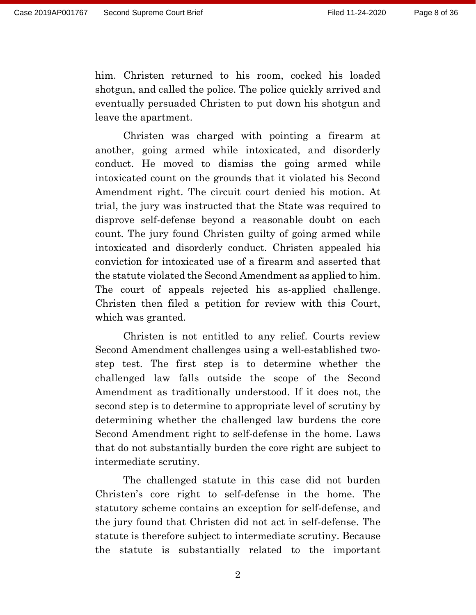him. Christen returned to his room, cocked his loaded shotgun, and called the police. The police quickly arrived and eventually persuaded Christen to put down his shotgun and leave the apartment.

Christen was charged with pointing a firearm at another, going armed while intoxicated, and disorderly conduct. He moved to dismiss the going armed while intoxicated count on the grounds that it violated his Second Amendment right. The circuit court denied his motion. At trial, the jury was instructed that the State was required to disprove self-defense beyond a reasonable doubt on each count. The jury found Christen guilty of going armed while intoxicated and disorderly conduct. Christen appealed his conviction for intoxicated use of a firearm and asserted that the statute violated the Second Amendment as applied to him. The court of appeals rejected his as-applied challenge. Christen then filed a petition for review with this Court, which was granted.

Christen is not entitled to any relief. Courts review Second Amendment challenges using a well-established twostep test. The first step is to determine whether the challenged law falls outside the scope of the Second Amendment as traditionally understood. If it does not, the second step is to determine to appropriate level of scrutiny by determining whether the challenged law burdens the core Second Amendment right to self-defense in the home. Laws that do not substantially burden the core right are subject to intermediate scrutiny.

The challenged statute in this case did not burden Christen's core right to self-defense in the home. The statutory scheme contains an exception for self-defense, and the jury found that Christen did not act in self-defense. The statute is therefore subject to intermediate scrutiny. Because the statute is substantially related to the important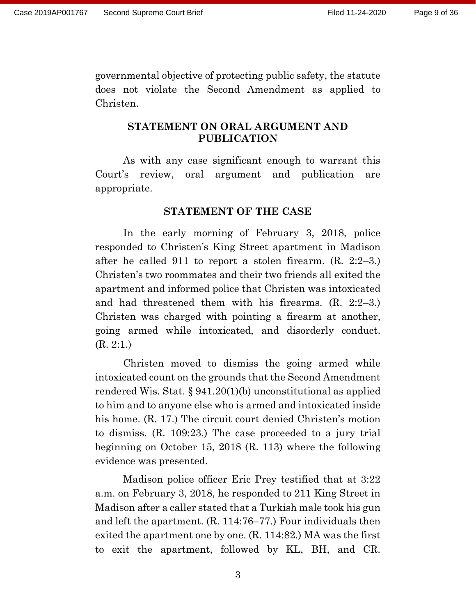governmental objective of protecting public safety, the statute does not violate the Second Amendment as applied to Christen.

### **STATEMENT ON ORAL ARGUMENT AND PUBLICATION**

As with any case significant enough to warrant this Court's review, oral argument and publication are appropriate.

#### **STATEMENT OF THE CASE**

In the early morning of February 3, 2018, police responded to Christen's King Street apartment in Madison after he called 911 to report a stolen firearm. (R. 2:2–3.) Christen's two roommates and their two friends all exited the apartment and informed police that Christen was intoxicated and had threatened them with his firearms. (R. 2:2–3.) Christen was charged with pointing a firearm at another, going armed while intoxicated, and disorderly conduct. (R. 2:1.)

Christen moved to dismiss the going armed while intoxicated count on the grounds that the Second Amendment rendered Wis. Stat. § 941.20(1)(b) unconstitutional as applied to him and to anyone else who is armed and intoxicated inside his home. (R. 17.) The circuit court denied Christen's motion to dismiss. (R. 109:23.) The case proceeded to a jury trial beginning on October 15, 2018 (R. 113) where the following evidence was presented.

Madison police officer Eric Prey testified that at 3:22 a.m. on February 3, 2018, he responded to 211 King Street in Madison after a caller stated that a Turkish male took his gun and left the apartment. (R. 114:76–77.) Four individuals then exited the apartment one by one. (R. 114:82.) MA was the first to exit the apartment, followed by KL, BH, and CR.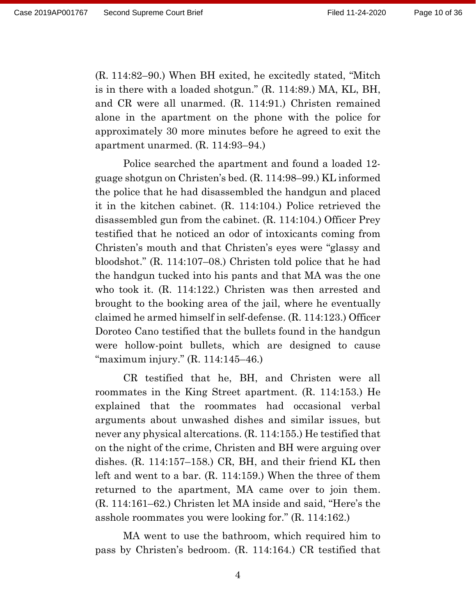(R. 114:82–90.) When BH exited, he excitedly stated, "Mitch is in there with a loaded shotgun." (R. 114:89.) MA, KL, BH, and CR were all unarmed. (R. 114:91.) Christen remained alone in the apartment on the phone with the police for approximately 30 more minutes before he agreed to exit the apartment unarmed. (R. 114:93–94.)

Police searched the apartment and found a loaded 12 guage shotgun on Christen's bed. (R. 114:98–99.) KL informed the police that he had disassembled the handgun and placed it in the kitchen cabinet. (R. 114:104.) Police retrieved the disassembled gun from the cabinet. (R. 114:104.) Officer Prey testified that he noticed an odor of intoxicants coming from Christen's mouth and that Christen's eyes were "glassy and bloodshot." (R. 114:107–08.) Christen told police that he had the handgun tucked into his pants and that MA was the one who took it. (R. 114:122.) Christen was then arrested and brought to the booking area of the jail, where he eventually claimed he armed himself in self-defense. (R. 114:123.) Officer Doroteo Cano testified that the bullets found in the handgun were hollow-point bullets, which are designed to cause "maximum injury." (R. 114:145–46.)

CR testified that he, BH, and Christen were all roommates in the King Street apartment. (R. 114:153.) He explained that the roommates had occasional verbal arguments about unwashed dishes and similar issues, but never any physical altercations. (R. 114:155.) He testified that on the night of the crime, Christen and BH were arguing over dishes. (R. 114:157–158.) CR, BH, and their friend KL then left and went to a bar. (R. 114:159.) When the three of them returned to the apartment, MA came over to join them. (R. 114:161–62.) Christen let MA inside and said, "Here's the asshole roommates you were looking for." (R. 114:162.)

MA went to use the bathroom, which required him to pass by Christen's bedroom. (R. 114:164.) CR testified that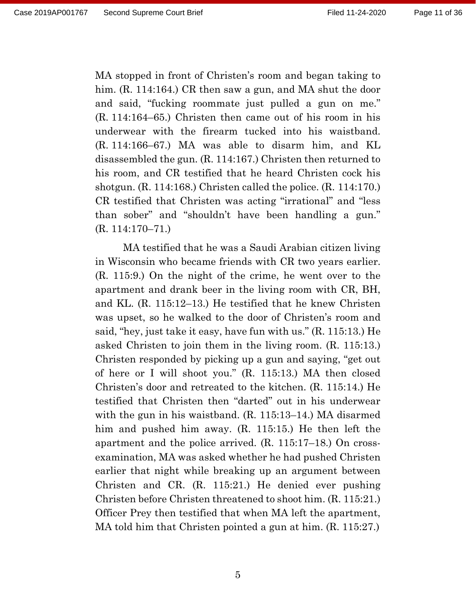MA stopped in front of Christen's room and began taking to him. (R. 114:164.) CR then saw a gun, and MA shut the door and said, "fucking roommate just pulled a gun on me." (R. 114:164–65.) Christen then came out of his room in his underwear with the firearm tucked into his waistband. (R. 114:166–67.) MA was able to disarm him, and KL disassembled the gun. (R. 114:167.) Christen then returned to his room, and CR testified that he heard Christen cock his shotgun. (R. 114:168.) Christen called the police. (R. 114:170.) CR testified that Christen was acting "irrational" and "less than sober" and "shouldn't have been handling a gun." (R. 114:170–71.)

MA testified that he was a Saudi Arabian citizen living in Wisconsin who became friends with CR two years earlier. (R. 115:9.) On the night of the crime, he went over to the apartment and drank beer in the living room with CR, BH, and KL. (R. 115:12–13.) He testified that he knew Christen was upset, so he walked to the door of Christen's room and said, "hey, just take it easy, have fun with us." (R. 115:13.) He asked Christen to join them in the living room. (R. 115:13.) Christen responded by picking up a gun and saying, "get out of here or I will shoot you." (R. 115:13.) MA then closed Christen's door and retreated to the kitchen. (R. 115:14.) He testified that Christen then "darted" out in his underwear with the gun in his waistband. (R. 115:13–14.) MA disarmed him and pushed him away. (R. 115:15.) He then left the apartment and the police arrived. (R. 115:17–18.) On crossexamination, MA was asked whether he had pushed Christen earlier that night while breaking up an argument between Christen and CR. (R. 115:21.) He denied ever pushing Christen before Christen threatened to shoot him. (R. 115:21.) Officer Prey then testified that when MA left the apartment, MA told him that Christen pointed a gun at him. (R. 115:27.)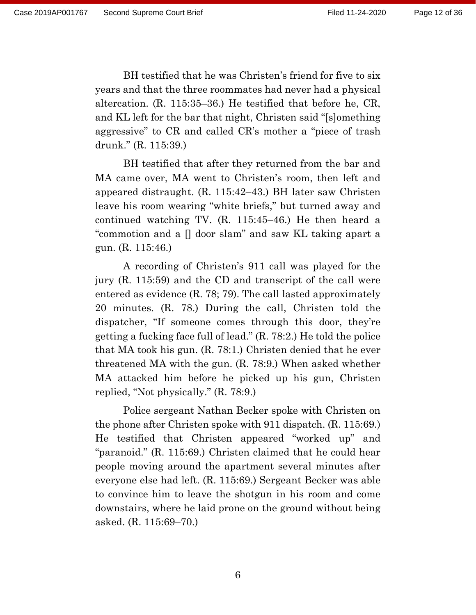BH testified that he was Christen's friend for five to six years and that the three roommates had never had a physical altercation. (R. 115:35–36.) He testified that before he, CR, and KL left for the bar that night, Christen said "[s]omething aggressive" to CR and called CR's mother a "piece of trash drunk." (R. 115:39.)

BH testified that after they returned from the bar and MA came over, MA went to Christen's room, then left and appeared distraught. (R. 115:42–43.) BH later saw Christen leave his room wearing "white briefs," but turned away and continued watching TV. (R. 115:45–46.) He then heard a "commotion and a [] door slam" and saw KL taking apart a gun. (R. 115:46.)

A recording of Christen's 911 call was played for the jury (R. 115:59) and the CD and transcript of the call were entered as evidence (R. 78; 79). The call lasted approximately 20 minutes. (R. 78.) During the call, Christen told the dispatcher, "If someone comes through this door, they're getting a fucking face full of lead." (R. 78:2.) He told the police that MA took his gun. (R. 78:1.) Christen denied that he ever threatened MA with the gun. (R. 78:9.) When asked whether MA attacked him before he picked up his gun, Christen replied, "Not physically." (R. 78:9.)

Police sergeant Nathan Becker spoke with Christen on the phone after Christen spoke with 911 dispatch. (R. 115:69.) He testified that Christen appeared "worked up" and "paranoid." (R. 115:69.) Christen claimed that he could hear people moving around the apartment several minutes after everyone else had left. (R. 115:69.) Sergeant Becker was able to convince him to leave the shotgun in his room and come downstairs, where he laid prone on the ground without being asked. (R. 115:69–70.)

6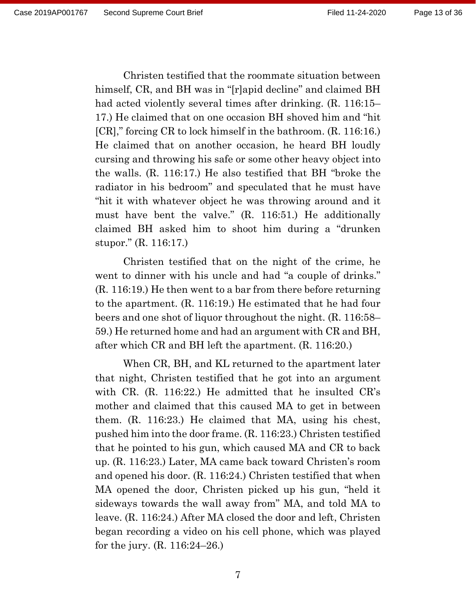Christen testified that the roommate situation between himself, CR, and BH was in "[r]apid decline" and claimed BH had acted violently several times after drinking. (R. 116:15– 17.) He claimed that on one occasion BH shoved him and "hit [CR]," forcing CR to lock himself in the bathroom. (R. 116:16.) He claimed that on another occasion, he heard BH loudly cursing and throwing his safe or some other heavy object into the walls. (R. 116:17.) He also testified that BH "broke the radiator in his bedroom" and speculated that he must have "hit it with whatever object he was throwing around and it must have bent the valve." (R. 116:51.) He additionally claimed BH asked him to shoot him during a "drunken stupor." (R. 116:17.)

Christen testified that on the night of the crime, he went to dinner with his uncle and had "a couple of drinks." (R. 116:19.) He then went to a bar from there before returning to the apartment. (R. 116:19.) He estimated that he had four beers and one shot of liquor throughout the night. (R. 116:58– 59.) He returned home and had an argument with CR and BH, after which CR and BH left the apartment. (R. 116:20.)

When CR, BH, and KL returned to the apartment later that night, Christen testified that he got into an argument with CR. (R. 116:22.) He admitted that he insulted CR's mother and claimed that this caused MA to get in between them. (R. 116:23.) He claimed that MA, using his chest, pushed him into the door frame. (R. 116:23.) Christen testified that he pointed to his gun, which caused MA and CR to back up. (R. 116:23.) Later, MA came back toward Christen's room and opened his door. (R. 116:24.) Christen testified that when MA opened the door, Christen picked up his gun, "held it sideways towards the wall away from" MA, and told MA to leave. (R. 116:24.) After MA closed the door and left, Christen began recording a video on his cell phone, which was played for the jury. (R. 116:24–26.)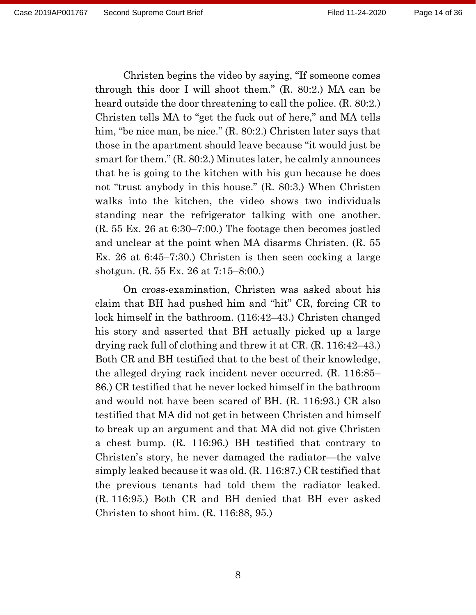Christen begins the video by saying, "If someone comes through this door I will shoot them." (R. 80:2.) MA can be heard outside the door threatening to call the police. (R. 80:2.) Christen tells MA to "get the fuck out of here," and MA tells him, "be nice man, be nice." (R. 80:2.) Christen later says that those in the apartment should leave because "it would just be smart for them." (R. 80:2.) Minutes later, he calmly announces that he is going to the kitchen with his gun because he does not "trust anybody in this house." (R. 80:3.) When Christen walks into the kitchen, the video shows two individuals standing near the refrigerator talking with one another. (R. 55 Ex. 26 at 6:30–7:00.) The footage then becomes jostled and unclear at the point when MA disarms Christen. (R. 55 Ex. 26 at 6:45–7:30.) Christen is then seen cocking a large shotgun. (R. 55 Ex. 26 at 7:15–8:00.)

On cross-examination, Christen was asked about his claim that BH had pushed him and "hit" CR, forcing CR to lock himself in the bathroom. (116:42–43.) Christen changed his story and asserted that BH actually picked up a large drying rack full of clothing and threw it at CR. (R. 116:42–43.) Both CR and BH testified that to the best of their knowledge, the alleged drying rack incident never occurred. (R. 116:85– 86.) CR testified that he never locked himself in the bathroom and would not have been scared of BH. (R. 116:93.) CR also testified that MA did not get in between Christen and himself to break up an argument and that MA did not give Christen a chest bump. (R. 116:96.) BH testified that contrary to Christen's story, he never damaged the radiator—the valve simply leaked because it was old. (R. 116:87.) CR testified that the previous tenants had told them the radiator leaked. (R. 116:95.) Both CR and BH denied that BH ever asked Christen to shoot him. (R. 116:88, 95.)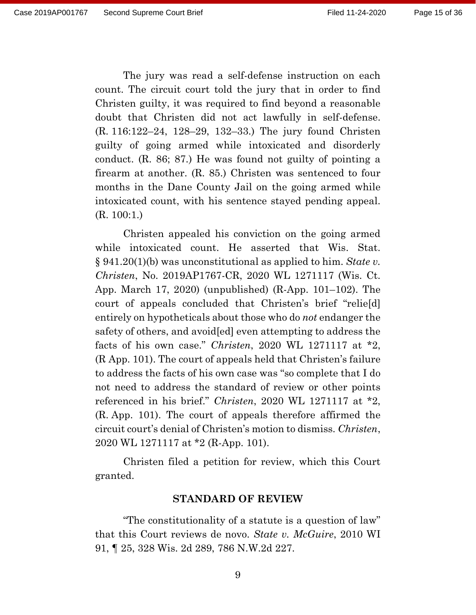The jury was read a self-defense instruction on each count. The circuit court told the jury that in order to find Christen guilty, it was required to find beyond a reasonable doubt that Christen did not act lawfully in self-defense. (R. 116:122–24, 128–29, 132–33.) The jury found Christen guilty of going armed while intoxicated and disorderly conduct. (R. 86; 87.) He was found not guilty of pointing a firearm at another. (R. 85.) Christen was sentenced to four months in the Dane County Jail on the going armed while intoxicated count, with his sentence stayed pending appeal. (R. 100:1.)

Christen appealed his conviction on the going armed while intoxicated count. He asserted that Wis. Stat. § 941.20(1)(b) was unconstitutional as applied to him. *State v. Christen*, No. 2019AP1767-CR, 2020 WL 1271117 (Wis. Ct. App. March 17, 2020) (unpublished) (R-App. 101–102). The court of appeals concluded that Christen's brief "relie[d] entirely on hypotheticals about those who do *not* endanger the safety of others, and avoid[ed] even attempting to address the facts of his own case." *Christen*, 2020 WL 1271117 at \*2, (R App. 101). The court of appeals held that Christen's failure to address the facts of his own case was "so complete that I do not need to address the standard of review or other points referenced in his brief." *Christen*, 2020 WL 1271117 at \*2, (R. App. 101). The court of appeals therefore affirmed the circuit court's denial of Christen's motion to dismiss. *Christen*, 2020 WL 1271117 at \*2 (R-App. 101).

Christen filed a petition for review, which this Court granted.

#### **STANDARD OF REVIEW**

"The constitutionality of a statute is a question of law" that this Court reviews de novo. *State v. McGuire*, 2010 WI 91, ¶ 25, 328 Wis. 2d 289, 786 N.W.2d 227.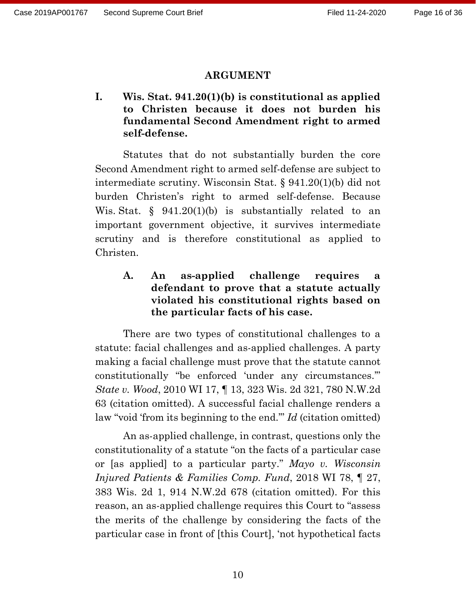#### **ARGUMENT**

**I. Wis. Stat. 941.20(1)(b) is constitutional as applied to Christen because it does not burden his fundamental Second Amendment right to armed self-defense.**

Statutes that do not substantially burden the core Second Amendment right to armed self-defense are subject to intermediate scrutiny. Wisconsin Stat. § 941.20(1)(b) did not burden Christen's right to armed self-defense. Because Wis. Stat.  $\S$  941.20(1)(b) is substantially related to an important government objective, it survives intermediate scrutiny and is therefore constitutional as applied to Christen.

**A. An as-applied challenge requires a defendant to prove that a statute actually violated his constitutional rights based on the particular facts of his case.**

There are two types of constitutional challenges to a statute: facial challenges and as-applied challenges. A party making a facial challenge must prove that the statute cannot constitutionally "be enforced 'under any circumstances.'" *State v. Wood*, 2010 WI 17, ¶ 13, 323 Wis. 2d 321, 780 N.W.2d 63 (citation omitted). A successful facial challenge renders a law "void 'from its beginning to the end.'" *Id* (citation omitted)

An as-applied challenge, in contrast, questions only the constitutionality of a statute "on the facts of a particular case or [as applied] to a particular party." *Mayo v. Wisconsin Injured Patients & Families Comp. Fund*, 2018 WI 78, ¶ 27, 383 Wis. 2d 1, 914 N.W.2d 678 (citation omitted). For this reason, an as-applied challenge requires this Court to "assess the merits of the challenge by considering the facts of the particular case in front of [this Court], 'not hypothetical facts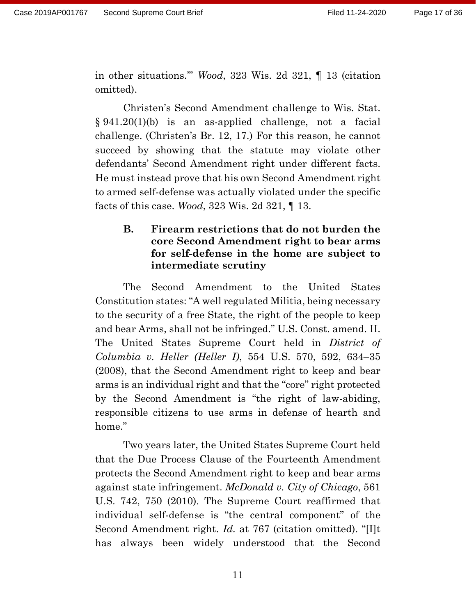in other situations.'" *Wood*, 323 Wis. 2d 321, ¶ 13 (citation omitted).

Christen's Second Amendment challenge to Wis. Stat. § 941.20(1)(b) is an as-applied challenge, not a facial challenge. (Christen's Br. 12, 17.) For this reason, he cannot succeed by showing that the statute may violate other defendants' Second Amendment right under different facts. He must instead prove that his own Second Amendment right to armed self-defense was actually violated under the specific facts of this case. *Wood*, 323 Wis. 2d 321, ¶ 13.

# **B. Firearm restrictions that do not burden the core Second Amendment right to bear arms for self-defense in the home are subject to intermediate scrutiny**

The Second Amendment to the United States Constitution states: "A well regulated Militia, being necessary to the security of a free State, the right of the people to keep and bear Arms, shall not be infringed." U.S. Const. amend. II. The United States Supreme Court held in *District of Columbia v. Heller (Heller I)*, 554 U.S. 570, 592, 634–35 (2008), that the Second Amendment right to keep and bear arms is an individual right and that the "core" right protected by the Second Amendment is "the right of law-abiding, responsible citizens to use arms in defense of hearth and home."

Two years later, the United States Supreme Court held that the Due Process Clause of the Fourteenth Amendment protects the Second Amendment right to keep and bear arms against state infringement. *McDonald v. City of Chicago*, 561 U.S. 742, 750 (2010). The Supreme Court reaffirmed that individual self-defense is "the central component" of the Second Amendment right. *Id.* at 767 (citation omitted). "[I]t has always been widely understood that the Second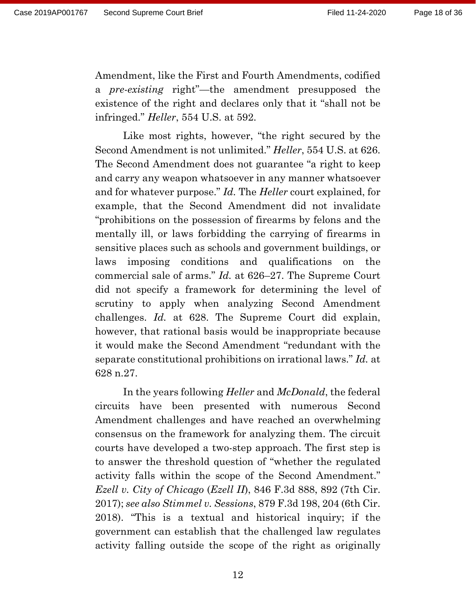Amendment, like the First and Fourth Amendments, codified a *pre-existing* right"—the amendment presupposed the existence of the right and declares only that it "shall not be infringed." *Heller*, 554 U.S. at 592.

Like most rights, however, "the right secured by the Second Amendment is not unlimited." *Heller*, 554 U.S. at 626. The Second Amendment does not guarantee "a right to keep and carry any weapon whatsoever in any manner whatsoever and for whatever purpose." *Id.* The *Heller* court explained, for example, that the Second Amendment did not invalidate "prohibitions on the possession of firearms by felons and the mentally ill, or laws forbidding the carrying of firearms in sensitive places such as schools and government buildings, or laws imposing conditions and qualifications on the commercial sale of arms." *Id.* at 626–27. The Supreme Court did not specify a framework for determining the level of scrutiny to apply when analyzing Second Amendment challenges. *Id.* at 628. The Supreme Court did explain, however, that rational basis would be inappropriate because it would make the Second Amendment "redundant with the separate constitutional prohibitions on irrational laws." *Id.* at 628 n.27.

In the years following *Heller* and *McDonald*, the federal circuits have been presented with numerous Second Amendment challenges and have reached an overwhelming consensus on the framework for analyzing them. The circuit courts have developed a two-step approach. The first step is to answer the threshold question of "whether the regulated activity falls within the scope of the Second Amendment." *Ezell v. City of Chicago* (*Ezell II*), 846 F.3d 888, 892 (7th Cir. 2017); *see also Stimmel v. Sessions*, 879 F.3d 198, 204 (6th Cir. 2018). "This is a textual and historical inquiry; if the government can establish that the challenged law regulates activity falling outside the scope of the right as originally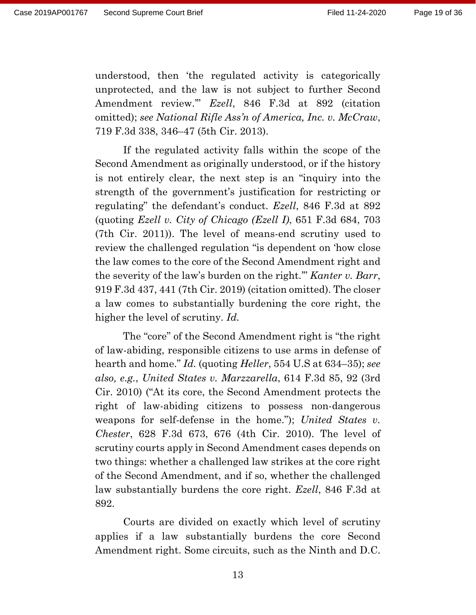understood, then 'the regulated activity is categorically unprotected, and the law is not subject to further Second Amendment review.'" *Ezell*, 846 F.3d at 892 (citation omitted); *see National Rifle Ass'n of America, Inc. v. McCraw*, 719 F.3d 338, 346–47 (5th Cir. 2013).

If the regulated activity falls within the scope of the Second Amendment as originally understood, or if the history is not entirely clear, the next step is an "inquiry into the strength of the government's justification for restricting or regulating" the defendant's conduct. *Ezell*, 846 F.3d at 892 (quoting *Ezell v. City of Chicago (Ezell I)*, 651 F.3d 684, 703 (7th Cir. 2011)). The level of means-end scrutiny used to review the challenged regulation "is dependent on 'how close the law comes to the core of the Second Amendment right and the severity of the law's burden on the right.'" *Kanter v. Barr*, 919 F.3d 437, 441 (7th Cir. 2019) (citation omitted). The closer a law comes to substantially burdening the core right, the higher the level of scrutiny. *Id.*

The "core" of the Second Amendment right is "the right of law-abiding, responsible citizens to use arms in defense of hearth and home." *Id.* (quoting *Heller*, 554 U.S at 634–35); *see also, e.g.*, *United States v. Marzzarella*, 614 F.3d 85, 92 (3rd Cir. 2010) ("At its core, the Second Amendment protects the right of law-abiding citizens to possess non-dangerous weapons for self-defense in the home."); *United States v. Chester*, 628 F.3d 673, 676 (4th Cir. 2010). The level of scrutiny courts apply in Second Amendment cases depends on two things: whether a challenged law strikes at the core right of the Second Amendment, and if so, whether the challenged law substantially burdens the core right. *Ezell*, 846 F.3d at 892.

Courts are divided on exactly which level of scrutiny applies if a law substantially burdens the core Second Amendment right. Some circuits, such as the Ninth and D.C.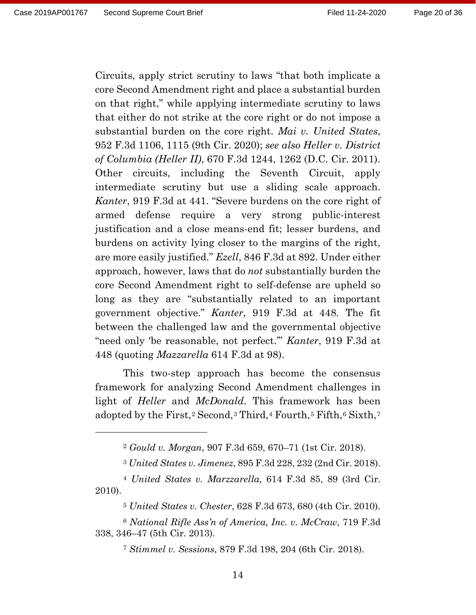Circuits, apply strict scrutiny to laws "that both implicate a core Second Amendment right and place a substantial burden on that right," while applying intermediate scrutiny to laws that either do not strike at the core right or do not impose a substantial burden on the core right. *Mai v. United States*, 952 F.3d 1106, 1115 (9th Cir. 2020); *see also Heller v. District of Columbia (Heller II)*, 670 F.3d 1244, 1262 (D.C. Cir. 2011). Other circuits, including the Seventh Circuit, apply intermediate scrutiny but use a sliding scale approach. *Kanter*, 919 F.3d at 441. "Severe burdens on the core right of armed defense require a very strong public-interest justification and a close means-end fit; lesser burdens, and burdens on activity lying closer to the margins of the right, are more easily justified." *Ezell*, 846 F.3d at 892. Under either approach, however, laws that do *not* substantially burden the core Second Amendment right to self-defense are upheld so long as they are "substantially related to an important government objective." *Kanter*, 919 F.3d at 448. The fit between the challenged law and the governmental objective "need only 'be reasonable, not perfect.'" *Kanter*, 919 F.3d at 448 (quoting *Mazzarella* 614 F.3d at 98).

This two-step approach has become the consensus framework for analyzing Second Amendment challenges in light of *Heller* and *McDonald*. This framework has been adopted by the First,<sup>[2](#page-19-0)</sup> Second,<sup>[3](#page-19-1)</sup> Third,<sup>[4](#page-19-2)</sup> Fourth,<sup>[5](#page-19-3)</sup> Fifth,<sup>[6](#page-19-4)</sup> Sixth,<sup>[7](#page-19-5)</sup>

<sup>7</sup> *Stimmel v. Sessions*, 879 F.3d 198, 204 (6th Cir. 2018).

<sup>2</sup> *Gould v. Morgan*, 907 F.3d 659, 670–71 (1st Cir. 2018).

<sup>3</sup> *United States v. Jimenez*, 895 F.3d 228, 232 (2nd Cir. 2018).

<span id="page-19-2"></span><span id="page-19-1"></span><span id="page-19-0"></span><sup>4</sup> *United States v. Marzzarella*, 614 F.3d 85, 89 (3rd Cir. 2010).

<sup>5</sup> *United States v. Chester*, 628 F.3d 673, 680 (4th Cir. 2010).

<span id="page-19-5"></span><span id="page-19-4"></span><span id="page-19-3"></span><sup>6</sup> *National Rifle Ass'n of America, Inc. v. McCraw*, 719 F.3d 338, 346–47 (5th Cir. 2013).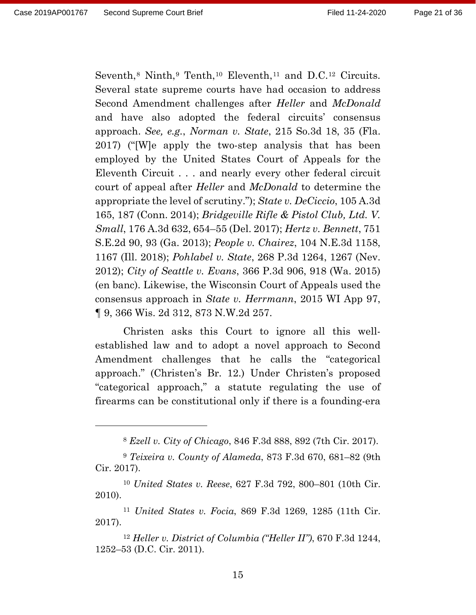Seventh, $8$  Ninth, $9$  Tenth, $10$  Eleventh, $11$  and D.C. $12$  Circuits. Several state supreme courts have had occasion to address Second Amendment challenges after *Heller* and *McDonald* and have also adopted the federal circuits' consensus approach. *See, e.g.*, *Norman v. State*, 215 So.3d 18, 35 (Fla. 2017) ("[W]e apply the two-step analysis that has been employed by the United States Court of Appeals for the Eleventh Circuit . . . and nearly every other federal circuit court of appeal after *Heller* and *McDonald* to determine the appropriate the level of scrutiny."); *State v. DeCiccio*, 105 A.3d 165, 187 (Conn. 2014); *Bridgeville Rifle & Pistol Club, Ltd. V. Small*, 176 A.3d 632, 654–55 (Del. 2017); *Hertz v. Bennett*, 751 S.E.2d 90, 93 (Ga. 2013); *People v. Chairez*, 104 N.E.3d 1158, 1167 (Ill. 2018); *Pohlabel v. State*, 268 P.3d 1264, 1267 (Nev. 2012); *City of Seattle v. Evans*, 366 P.3d 906, 918 (Wa. 2015) (en banc). Likewise, the Wisconsin Court of Appeals used the consensus approach in *State v. Herrmann*, 2015 WI App 97, ¶ 9, 366 Wis. 2d 312, 873 N.W.2d 257.

Christen asks this Court to ignore all this wellestablished law and to adopt a novel approach to Second Amendment challenges that he calls the "categorical approach." (Christen's Br. 12.) Under Christen's proposed "categorical approach," a statute regulating the use of firearms can be constitutional only if there is a founding-era

<sup>8</sup> *Ezell v. City of Chicago*, 846 F.3d 888, 892 (7th Cir. 2017).

<span id="page-20-1"></span><span id="page-20-0"></span><sup>9</sup> *Teixeira v. County of Alameda*, 873 F.3d 670, 681–82 (9th Cir. 2017).

<span id="page-20-2"></span><sup>10</sup> *United States v. Reese*, 627 F.3d 792, 800–801 (10th Cir. 2010).

<span id="page-20-3"></span><sup>11</sup> *United States v. Focia*, 869 F.3d 1269, 1285 (11th Cir. 2017).

<span id="page-20-4"></span><sup>12</sup> *Heller v. District of Columbia ("Heller II")*, 670 F.3d 1244, 1252–53 (D.C. Cir. 2011).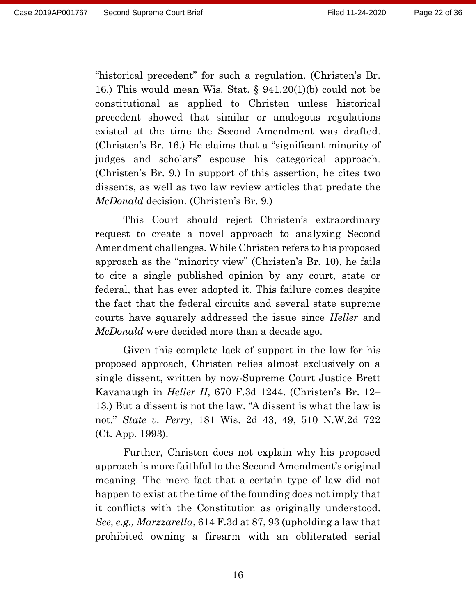"historical precedent" for such a regulation. (Christen's Br. 16.) This would mean Wis. Stat. § 941.20(1)(b) could not be constitutional as applied to Christen unless historical precedent showed that similar or analogous regulations existed at the time the Second Amendment was drafted. (Christen's Br. 16.) He claims that a "significant minority of judges and scholars" espouse his categorical approach. (Christen's Br. 9.) In support of this assertion, he cites two dissents, as well as two law review articles that predate the *McDonald* decision. (Christen's Br. 9.)

This Court should reject Christen's extraordinary request to create a novel approach to analyzing Second Amendment challenges. While Christen refers to his proposed approach as the "minority view" (Christen's Br. 10), he fails to cite a single published opinion by any court, state or federal, that has ever adopted it. This failure comes despite the fact that the federal circuits and several state supreme courts have squarely addressed the issue since *Heller* and *McDonald* were decided more than a decade ago.

Given this complete lack of support in the law for his proposed approach, Christen relies almost exclusively on a single dissent, written by now-Supreme Court Justice Brett Kavanaugh in *Heller II*, 670 F.3d 1244. (Christen's Br. 12– 13.) But a dissent is not the law. "A dissent is what the law is not." *State v. Perry*, 181 Wis. 2d 43, 49, 510 N.W.2d 722 (Ct. App. 1993).

Further, Christen does not explain why his proposed approach is more faithful to the Second Amendment's original meaning. The mere fact that a certain type of law did not happen to exist at the time of the founding does not imply that it conflicts with the Constitution as originally understood. *See, e.g., Marzzarella*, 614 F.3d at 87, 93 (upholding a law that prohibited owning a firearm with an obliterated serial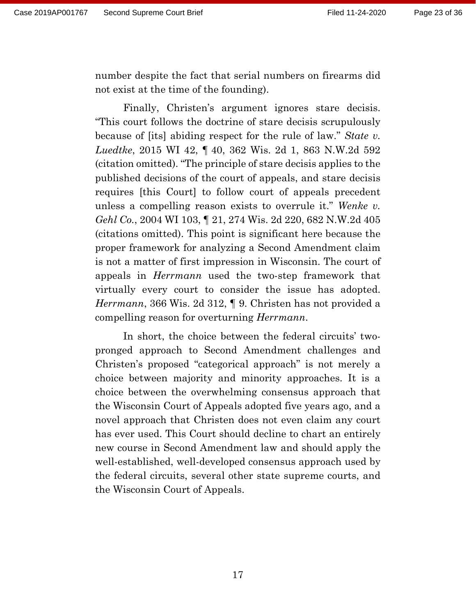number despite the fact that serial numbers on firearms did not exist at the time of the founding).

Finally, Christen's argument ignores stare decisis. "This court follows the doctrine of stare decisis scrupulously because of [its] abiding respect for the rule of law." *State v. Luedtke*, 2015 WI 42, ¶ 40, 362 Wis. 2d 1, 863 N.W.2d 592 (citation omitted). "The principle of stare decisis applies to the published decisions of the court of appeals, and stare decisis requires [this Court] to follow court of appeals precedent unless a compelling reason exists to overrule it." *Wenke v. Gehl Co.*, 2004 WI 103, ¶ 21, 274 Wis. 2d 220, 682 N.W.2d 405 (citations omitted). This point is significant here because the proper framework for analyzing a Second Amendment claim is not a matter of first impression in Wisconsin. The court of appeals in *Herrmann* used the two-step framework that virtually every court to consider the issue has adopted. *Herrmann*, 366 Wis. 2d 312, ¶ 9. Christen has not provided a compelling reason for overturning *Herrmann*.

In short, the choice between the federal circuits' twopronged approach to Second Amendment challenges and Christen's proposed "categorical approach" is not merely a choice between majority and minority approaches. It is a choice between the overwhelming consensus approach that the Wisconsin Court of Appeals adopted five years ago, and a novel approach that Christen does not even claim any court has ever used. This Court should decline to chart an entirely new course in Second Amendment law and should apply the well-established, well-developed consensus approach used by the federal circuits, several other state supreme courts, and the Wisconsin Court of Appeals.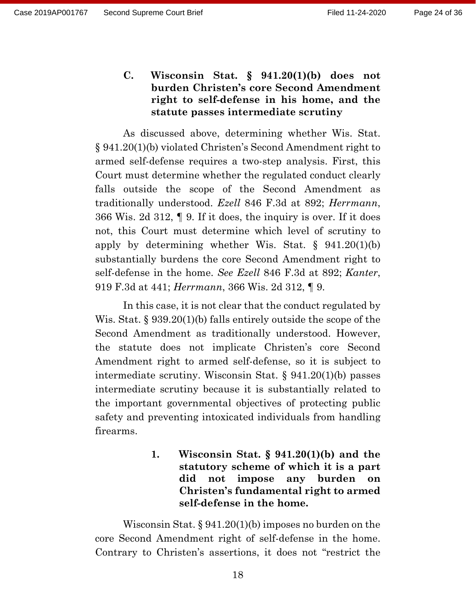**C. Wisconsin Stat. § 941.20(1)(b) does not burden Christen's core Second Amendment right to self-defense in his home, and the statute passes intermediate scrutiny**

As discussed above, determining whether Wis. Stat. § 941.20(1)(b) violated Christen's Second Amendment right to armed self-defense requires a two-step analysis. First, this Court must determine whether the regulated conduct clearly falls outside the scope of the Second Amendment as traditionally understood. *Ezell* 846 F.3d at 892; *Herrmann*, 366 Wis. 2d 312, ¶ 9. If it does, the inquiry is over. If it does not, this Court must determine which level of scrutiny to apply by determining whether Wis. Stat. § 941.20(1)(b) substantially burdens the core Second Amendment right to self-defense in the home. *See Ezell* 846 F.3d at 892; *Kanter*, 919 F.3d at 441; *Herrmann*, 366 Wis. 2d 312, ¶ 9.

In this case, it is not clear that the conduct regulated by Wis. Stat. § 939.20(1)(b) falls entirely outside the scope of the Second Amendment as traditionally understood. However, the statute does not implicate Christen's core Second Amendment right to armed self-defense, so it is subject to intermediate scrutiny. Wisconsin Stat. § 941.20(1)(b) passes intermediate scrutiny because it is substantially related to the important governmental objectives of protecting public safety and preventing intoxicated individuals from handling firearms.

> **1. Wisconsin Stat. § 941.20(1)(b) and the statutory scheme of which it is a part did not impose any burden on Christen's fundamental right to armed self-defense in the home.**

Wisconsin Stat. § 941.20(1)(b) imposes no burden on the core Second Amendment right of self-defense in the home. Contrary to Christen's assertions, it does not "restrict the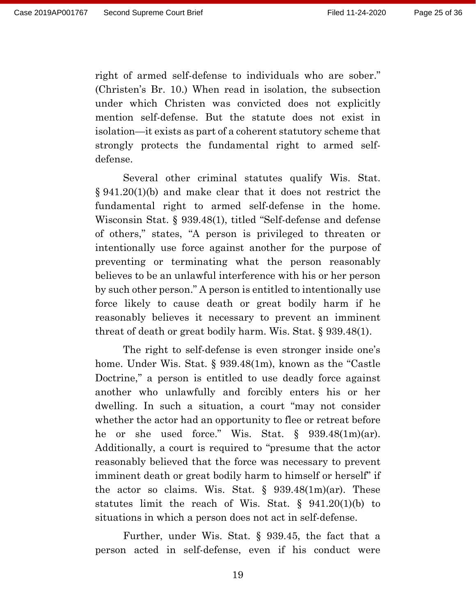right of armed self-defense to individuals who are sober." (Christen's Br. 10.) When read in isolation, the subsection under which Christen was convicted does not explicitly mention self-defense. But the statute does not exist in isolation—it exists as part of a coherent statutory scheme that strongly protects the fundamental right to armed selfdefense.

Several other criminal statutes qualify Wis. Stat. § 941.20(1)(b) and make clear that it does not restrict the fundamental right to armed self-defense in the home. Wisconsin Stat. § 939.48(1), titled "Self-defense and defense of others," states, "A person is privileged to threaten or intentionally use force against another for the purpose of preventing or terminating what the person reasonably believes to be an unlawful interference with his or her person by such other person." A person is entitled to intentionally use force likely to cause death or great bodily harm if he reasonably believes it necessary to prevent an imminent threat of death or great bodily harm. Wis. Stat. § 939.48(1).

The right to self-defense is even stronger inside one's home. Under Wis. Stat. § 939.48(1m), known as the "Castle Doctrine," a person is entitled to use deadly force against another who unlawfully and forcibly enters his or her dwelling. In such a situation, a court "may not consider whether the actor had an opportunity to flee or retreat before he or she used force." Wis. Stat. § 939.48(1m)(ar). Additionally, a court is required to "presume that the actor reasonably believed that the force was necessary to prevent imminent death or great bodily harm to himself or herself" if the actor so claims. Wis. Stat.  $\S$  939.48(1m)(ar). These statutes limit the reach of Wis. Stat. § 941.20(1)(b) to situations in which a person does not act in self-defense.

Further, under Wis. Stat. § 939.45, the fact that a person acted in self-defense, even if his conduct were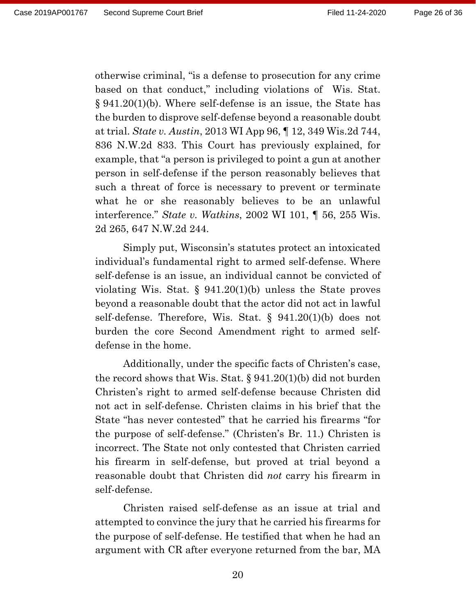otherwise criminal, "is a defense to prosecution for any crime based on that conduct," including violations of Wis. Stat. § 941.20(1)(b). Where self-defense is an issue, the State has the burden to disprove self-defense beyond a reasonable doubt at trial. *State v. Austin*, 2013 WI App 96, ¶ 12, 349 Wis.2d 744, 836 N.W.2d 833. This Court has previously explained, for example, that "a person is privileged to point a gun at another person in self-defense if the person reasonably believes that such a threat of force is necessary to prevent or terminate what he or she reasonably believes to be an unlawful interference." *State v. Watkins*, 2002 WI 101, ¶ 56, 255 Wis. 2d 265, 647 N.W.2d 244.

Simply put, Wisconsin's statutes protect an intoxicated individual's fundamental right to armed self-defense. Where self-defense is an issue, an individual cannot be convicted of violating Wis. Stat. § 941.20(1)(b) unless the State proves beyond a reasonable doubt that the actor did not act in lawful self-defense. Therefore, Wis. Stat. § 941.20(1)(b) does not burden the core Second Amendment right to armed selfdefense in the home.

Additionally, under the specific facts of Christen's case, the record shows that Wis. Stat. § 941.20(1)(b) did not burden Christen's right to armed self-defense because Christen did not act in self-defense. Christen claims in his brief that the State "has never contested" that he carried his firearms "for the purpose of self-defense." (Christen's Br. 11.) Christen is incorrect. The State not only contested that Christen carried his firearm in self-defense, but proved at trial beyond a reasonable doubt that Christen did *not* carry his firearm in self-defense.

Christen raised self-defense as an issue at trial and attempted to convince the jury that he carried his firearms for the purpose of self-defense. He testified that when he had an argument with CR after everyone returned from the bar, MA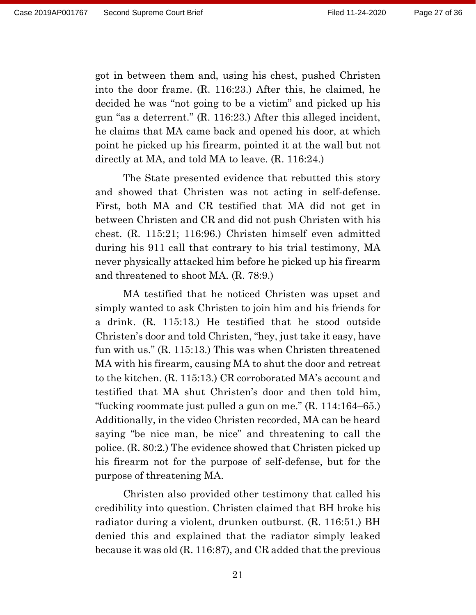got in between them and, using his chest, pushed Christen into the door frame. (R. 116:23.) After this, he claimed, he decided he was "not going to be a victim" and picked up his gun "as a deterrent." (R. 116:23.) After this alleged incident, he claims that MA came back and opened his door, at which point he picked up his firearm, pointed it at the wall but not directly at MA, and told MA to leave. (R. 116:24.)

The State presented evidence that rebutted this story and showed that Christen was not acting in self-defense. First, both MA and CR testified that MA did not get in between Christen and CR and did not push Christen with his chest. (R. 115:21; 116:96.) Christen himself even admitted during his 911 call that contrary to his trial testimony, MA never physically attacked him before he picked up his firearm and threatened to shoot MA. (R. 78:9.)

MA testified that he noticed Christen was upset and simply wanted to ask Christen to join him and his friends for a drink. (R. 115:13.) He testified that he stood outside Christen's door and told Christen, "hey, just take it easy, have fun with us." (R. 115:13.) This was when Christen threatened MA with his firearm, causing MA to shut the door and retreat to the kitchen. (R. 115:13.) CR corroborated MA's account and testified that MA shut Christen's door and then told him, "fucking roommate just pulled a gun on me." (R. 114:164–65.) Additionally, in the video Christen recorded, MA can be heard saying "be nice man, be nice" and threatening to call the police. (R. 80:2.) The evidence showed that Christen picked up his firearm not for the purpose of self-defense, but for the purpose of threatening MA.

Christen also provided other testimony that called his credibility into question. Christen claimed that BH broke his radiator during a violent, drunken outburst. (R. 116:51.) BH denied this and explained that the radiator simply leaked because it was old (R. 116:87), and CR added that the previous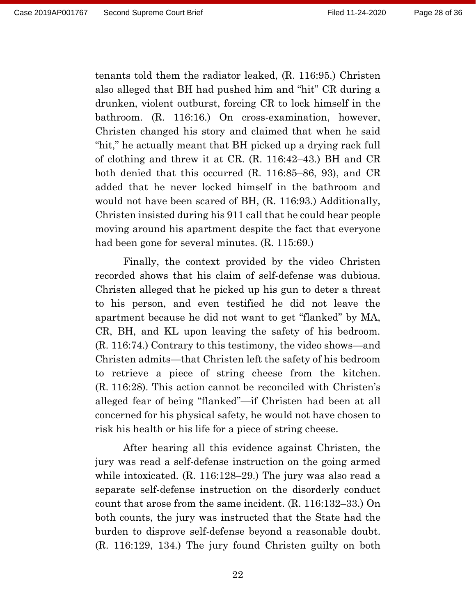tenants told them the radiator leaked, (R. 116:95.) Christen also alleged that BH had pushed him and "hit" CR during a drunken, violent outburst, forcing CR to lock himself in the bathroom. (R. 116:16.) On cross-examination, however, Christen changed his story and claimed that when he said "hit," he actually meant that BH picked up a drying rack full of clothing and threw it at CR. (R. 116:42–43.) BH and CR both denied that this occurred (R. 116:85–86, 93), and CR added that he never locked himself in the bathroom and would not have been scared of BH, (R. 116:93.) Additionally, Christen insisted during his 911 call that he could hear people moving around his apartment despite the fact that everyone had been gone for several minutes. (R. 115:69.)

Finally, the context provided by the video Christen recorded shows that his claim of self-defense was dubious. Christen alleged that he picked up his gun to deter a threat to his person, and even testified he did not leave the apartment because he did not want to get "flanked" by MA, CR, BH, and KL upon leaving the safety of his bedroom. (R. 116:74.) Contrary to this testimony, the video shows—and Christen admits—that Christen left the safety of his bedroom to retrieve a piece of string cheese from the kitchen. (R. 116:28). This action cannot be reconciled with Christen's alleged fear of being "flanked"—if Christen had been at all concerned for his physical safety, he would not have chosen to risk his health or his life for a piece of string cheese.

After hearing all this evidence against Christen, the jury was read a self-defense instruction on the going armed while intoxicated. (R. 116:128–29.) The jury was also read a separate self-defense instruction on the disorderly conduct count that arose from the same incident. (R. 116:132–33.) On both counts, the jury was instructed that the State had the burden to disprove self-defense beyond a reasonable doubt. (R. 116:129, 134.) The jury found Christen guilty on both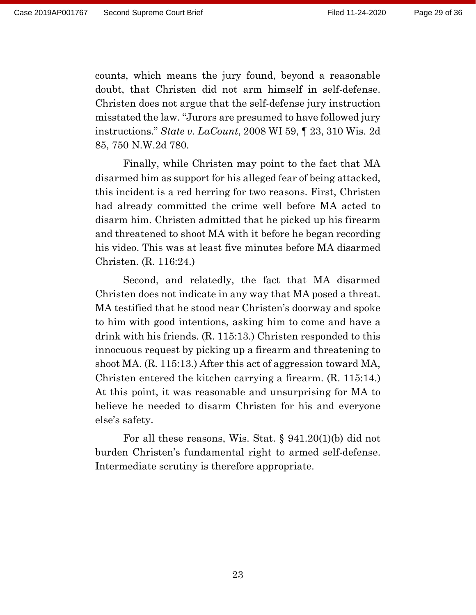counts, which means the jury found, beyond a reasonable doubt, that Christen did not arm himself in self-defense. Christen does not argue that the self-defense jury instruction misstated the law. "Jurors are presumed to have followed jury instructions." *State v. LaCount*, 2008 WI 59, ¶ 23, 310 Wis. 2d 85, 750 N.W.2d 780.

Finally, while Christen may point to the fact that MA disarmed him as support for his alleged fear of being attacked, this incident is a red herring for two reasons. First, Christen had already committed the crime well before MA acted to disarm him. Christen admitted that he picked up his firearm and threatened to shoot MA with it before he began recording his video. This was at least five minutes before MA disarmed Christen. (R. 116:24.)

Second, and relatedly, the fact that MA disarmed Christen does not indicate in any way that MA posed a threat. MA testified that he stood near Christen's doorway and spoke to him with good intentions, asking him to come and have a drink with his friends. (R. 115:13.) Christen responded to this innocuous request by picking up a firearm and threatening to shoot MA. (R. 115:13.) After this act of aggression toward MA, Christen entered the kitchen carrying a firearm. (R. 115:14.) At this point, it was reasonable and unsurprising for MA to believe he needed to disarm Christen for his and everyone else's safety.

For all these reasons, Wis. Stat. § 941.20(1)(b) did not burden Christen's fundamental right to armed self-defense. Intermediate scrutiny is therefore appropriate.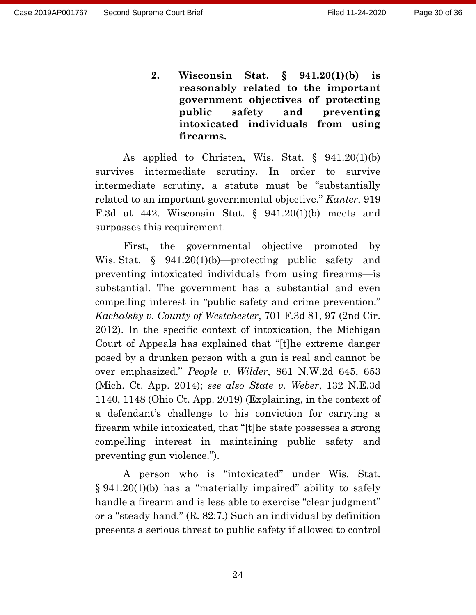**2. Wisconsin Stat. § 941.20(1)(b) is reasonably related to the important government objectives of protecting public safety and preventing intoxicated individuals from using firearms.**

As applied to Christen, Wis. Stat.  $\S$  941.20(1)(b) survives intermediate scrutiny. In order to survive intermediate scrutiny, a statute must be "substantially related to an important governmental objective." *Kanter*, 919 F.3d at 442. Wisconsin Stat. §  $941.20(1)(b)$  meets and surpasses this requirement.

First, the governmental objective promoted by Wis. Stat. § 941.20(1)(b)—protecting public safety and preventing intoxicated individuals from using firearms—is substantial. The government has a substantial and even compelling interest in "public safety and crime prevention." *Kachalsky v. County of Westchester*, 701 F.3d 81, 97 (2nd Cir. 2012). In the specific context of intoxication, the Michigan Court of Appeals has explained that "[t]he extreme danger posed by a drunken person with a gun is real and cannot be over emphasized." *People v. Wilder*, 861 N.W.2d 645, 653 (Mich. Ct. App. 2014); *see also State v. Weber*, 132 N.E.3d 1140, 1148 (Ohio Ct. App. 2019) (Explaining, in the context of a defendant's challenge to his conviction for carrying a firearm while intoxicated, that "[t]he state possesses a strong compelling interest in maintaining public safety and preventing gun violence.").

A person who is "intoxicated" under Wis. Stat. § 941.20(1)(b) has a "materially impaired" ability to safely handle a firearm and is less able to exercise "clear judgment" or a "steady hand." (R. 82:7.) Such an individual by definition presents a serious threat to public safety if allowed to control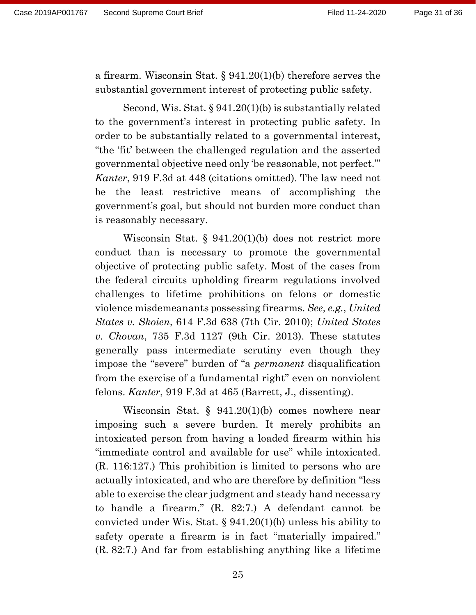a firearm. Wisconsin Stat. § 941.20(1)(b) therefore serves the substantial government interest of protecting public safety.

Second, Wis. Stat. § 941.20(1)(b) is substantially related to the government's interest in protecting public safety. In order to be substantially related to a governmental interest, "the 'fit' between the challenged regulation and the asserted governmental objective need only 'be reasonable, not perfect.'" *Kanter*, 919 F.3d at 448 (citations omitted). The law need not be the least restrictive means of accomplishing the government's goal, but should not burden more conduct than is reasonably necessary.

Wisconsin Stat. § 941.20(1)(b) does not restrict more conduct than is necessary to promote the governmental objective of protecting public safety. Most of the cases from the federal circuits upholding firearm regulations involved challenges to lifetime prohibitions on felons or domestic violence misdemeanants possessing firearms. *See, e.g.*, *United States v. Skoien*, 614 F.3d 638 (7th Cir. 2010); *United States v. Chovan*, 735 F.3d 1127 (9th Cir. 2013). These statutes generally pass intermediate scrutiny even though they impose the "severe" burden of "a *permanent* disqualification from the exercise of a fundamental right" even on nonviolent felons. *Kanter*, 919 F.3d at 465 (Barrett, J., dissenting).

Wisconsin Stat. § 941.20(1)(b) comes nowhere near imposing such a severe burden. It merely prohibits an intoxicated person from having a loaded firearm within his "immediate control and available for use" while intoxicated. (R. 116:127.) This prohibition is limited to persons who are actually intoxicated, and who are therefore by definition "less able to exercise the clear judgment and steady hand necessary to handle a firearm." (R. 82:7.) A defendant cannot be convicted under Wis. Stat. § 941.20(1)(b) unless his ability to safety operate a firearm is in fact "materially impaired." (R. 82:7.) And far from establishing anything like a lifetime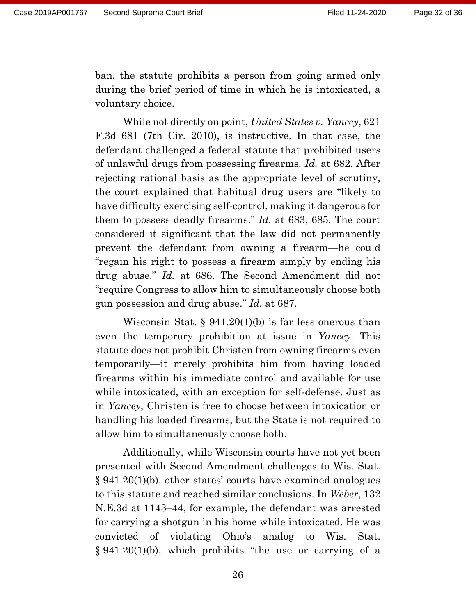ban, the statute prohibits a person from going armed only during the brief period of time in which he is intoxicated, a voluntary choice.

While not directly on point, *United States v. Yancey*, 621 F.3d 681 (7th Cir. 2010), is instructive. In that case, the defendant challenged a federal statute that prohibited users of unlawful drugs from possessing firearms. *Id.* at 682. After rejecting rational basis as the appropriate level of scrutiny, the court explained that habitual drug users are "likely to have difficulty exercising self-control, making it dangerous for them to possess deadly firearms." *Id.* at 683, 685. The court considered it significant that the law did not permanently prevent the defendant from owning a firearm—he could "regain his right to possess a firearm simply by ending his drug abuse." *Id.* at 686. The Second Amendment did not "require Congress to allow him to simultaneously choose both gun possession and drug abuse." *Id.* at 687.

Wisconsin Stat.  $\S 941.20(1)(b)$  is far less onerous than even the temporary prohibition at issue in *Yancey*. This statute does not prohibit Christen from owning firearms even temporarily—it merely prohibits him from having loaded firearms within his immediate control and available for use while intoxicated, with an exception for self-defense. Just as in *Yancey*, Christen is free to choose between intoxication or handling his loaded firearms, but the State is not required to allow him to simultaneously choose both.

Additionally, while Wisconsin courts have not yet been presented with Second Amendment challenges to Wis. Stat. § 941.20(1)(b), other states' courts have examined analogues to this statute and reached similar conclusions. In *Weber*, 132 N.E.3d at 1143–44, for example, the defendant was arrested for carrying a shotgun in his home while intoxicated. He was convicted of violating Ohio's analog to Wis. Stat. § 941.20(1)(b), which prohibits "the use or carrying of a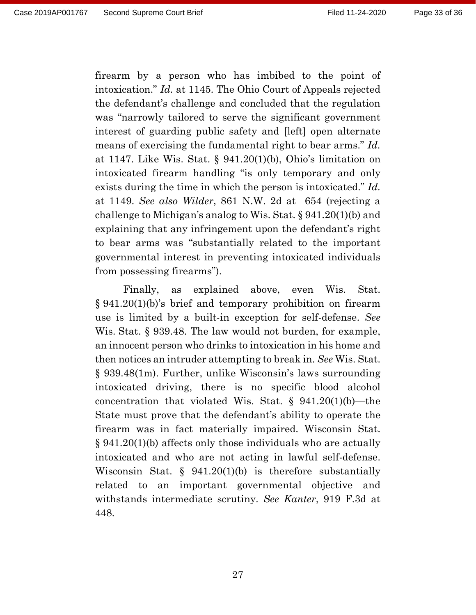firearm by a person who has imbibed to the point of intoxication." *Id.* at 1145. The Ohio Court of Appeals rejected the defendant's challenge and concluded that the regulation was "narrowly tailored to serve the significant government interest of guarding public safety and [left] open alternate means of exercising the fundamental right to bear arms." *Id.* at 1147. Like Wis. Stat. § 941.20(1)(b), Ohio's limitation on intoxicated firearm handling "is only temporary and only exists during the time in which the person is intoxicated." *Id.* at 1149. *See also Wilder*, 861 N.W. 2d at 654 (rejecting a challenge to Michigan's analog to Wis. Stat. § 941.20(1)(b) and explaining that any infringement upon the defendant's right to bear arms was "substantially related to the important governmental interest in preventing intoxicated individuals from possessing firearms").

Finally, as explained above, even Wis. Stat. § 941.20(1)(b)'s brief and temporary prohibition on firearm use is limited by a built-in exception for self-defense. *See* Wis. Stat. § 939.48. The law would not burden, for example, an innocent person who drinks to intoxication in his home and then notices an intruder attempting to break in. *See* Wis. Stat. § 939.48(1m). Further, unlike Wisconsin's laws surrounding intoxicated driving, there is no specific blood alcohol concentration that violated Wis. Stat. § 941.20(1)(b)—the State must prove that the defendant's ability to operate the firearm was in fact materially impaired. Wisconsin Stat. § 941.20(1)(b) affects only those individuals who are actually intoxicated and who are not acting in lawful self-defense. Wisconsin Stat. § 941.20(1)(b) is therefore substantially related to an important governmental objective and withstands intermediate scrutiny. *See Kanter*, 919 F.3d at 448.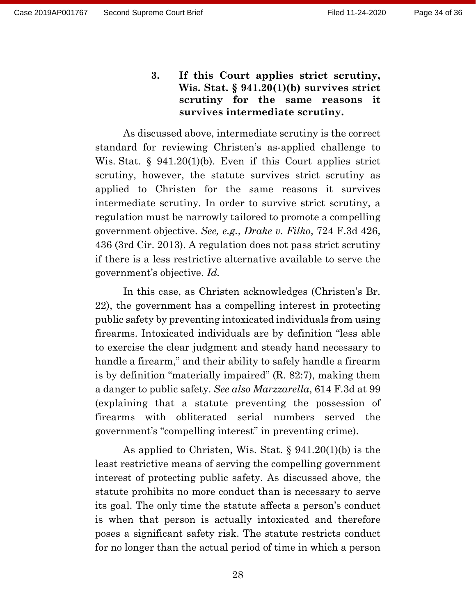**3. If this Court applies strict scrutiny, Wis. Stat. § 941.20(1)(b) survives strict scrutiny for the same reasons it survives intermediate scrutiny.**

As discussed above, intermediate scrutiny is the correct standard for reviewing Christen's as-applied challenge to Wis. Stat. § 941.20(1)(b). Even if this Court applies strict scrutiny, however, the statute survives strict scrutiny as applied to Christen for the same reasons it survives intermediate scrutiny. In order to survive strict scrutiny, a regulation must be narrowly tailored to promote a compelling government objective. *See, e.g.*, *Drake v. Filko*, 724 F.3d 426, 436 (3rd Cir. 2013). A regulation does not pass strict scrutiny if there is a less restrictive alternative available to serve the government's objective. *Id.*

In this case, as Christen acknowledges (Christen's Br. 22), the government has a compelling interest in protecting public safety by preventing intoxicated individuals from using firearms. Intoxicated individuals are by definition "less able to exercise the clear judgment and steady hand necessary to handle a firearm," and their ability to safely handle a firearm is by definition "materially impaired" (R. 82:7), making them a danger to public safety. *See also Marzzarella*, 614 F.3d at 99 (explaining that a statute preventing the possession of firearms with obliterated serial numbers served the government's "compelling interest" in preventing crime).

As applied to Christen, Wis. Stat. § 941.20(1)(b) is the least restrictive means of serving the compelling government interest of protecting public safety. As discussed above, the statute prohibits no more conduct than is necessary to serve its goal. The only time the statute affects a person's conduct is when that person is actually intoxicated and therefore poses a significant safety risk. The statute restricts conduct for no longer than the actual period of time in which a person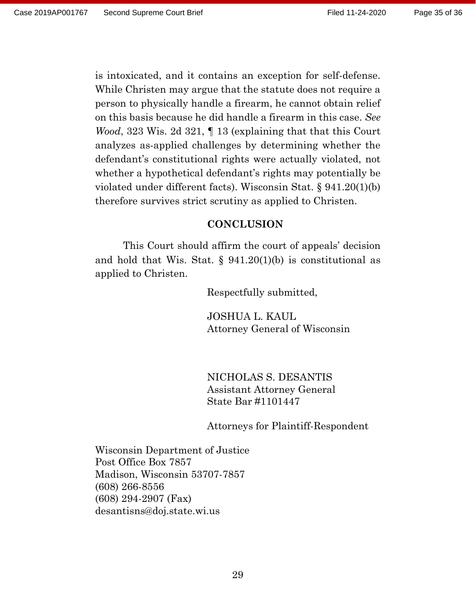is intoxicated, and it contains an exception for self-defense. While Christen may argue that the statute does not require a person to physically handle a firearm, he cannot obtain relief on this basis because he did handle a firearm in this case. *See Wood*, 323 Wis. 2d 321, 1 13 (explaining that that this Court analyzes as-applied challenges by determining whether the defendant's constitutional rights were actually violated, not whether a hypothetical defendant's rights may potentially be violated under different facts). Wisconsin Stat. § 941.20(1)(b) therefore survives strict scrutiny as applied to Christen.

#### **CONCLUSION**

This Court should affirm the court of appeals' decision and hold that Wis. Stat.  $\S$  941.20(1)(b) is constitutional as applied to Christen.

Respectfully submitted,

JOSHUA L. KAUL Attorney General of Wisconsin

NICHOLAS S. DESANTIS Assistant Attorney General State Bar #1101447

Attorneys for Plaintiff-Respondent

Wisconsin Department of Justice Post Office Box 7857 Madison, Wisconsin 53707-7857 (608) 266-8556 (608) 294-2907 (Fax) desantisns@doj.state.wi.us